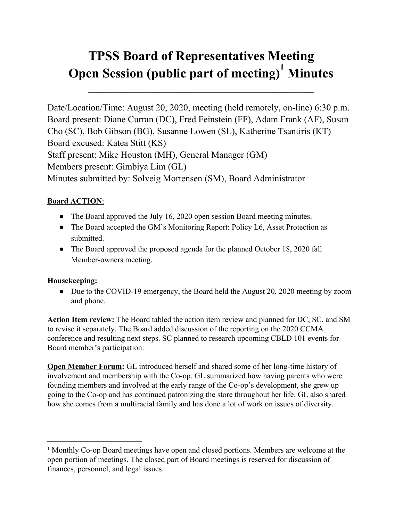# **TPSS Board of Representatives Meeting Open Session (public part of meeting) Minutes 1**

 $\mathcal{L}_\text{max}$  , and the contract of the contract of the contract of the contract of the contract of the contract of the contract of the contract of the contract of the contract of the contract of the contract of the contr

Date/Location/Time: August 20, 2020, meeting (held remotely, on-line) 6:30 p.m. Board present: Diane Curran (DC), Fred Feinstein (FF), Adam Frank (AF), Susan Cho (SC), Bob Gibson (BG), Susanne Lowen (SL), Katherine Tsantiris (KT) Board excused: Katea Stitt (KS) Staff present: Mike Houston (MH), General Manager (GM) Members present: Gimbiya Lim (GL) Minutes submitted by: Solveig Mortensen (SM), Board Administrator

### **Board ACTION**:

- The Board approved the July 16, 2020 open session Board meeting minutes.
- The Board accepted the GM's Monitoring Report: Policy L6, Asset Protection as submitted.
- The Board approved the proposed agenda for the planned October 18, 2020 fall Member-owners meeting.

#### **Housekeeping:**

• Due to the COVID-19 emergency, the Board held the August 20, 2020 meeting by zoom and phone.

**Action Item review:** The Board tabled the action item review and planned for DC, SC, and SM to revise it separately. The Board added discussion of the reporting on the 2020 CCMA conference and resulting next steps. SC planned to research upcoming CBLD 101 events for Board member's participation.

**Open Member Forum:** GL introduced herself and shared some of her long-time history of involvement and membership with the Co-op. GL summarized how having parents who were founding members and involved at the early range of the Co-op's development, she grew up going to the Co-op and has continued patronizing the store throughout her life. GL also shared how she comes from a multiracial family and has done a lot of work on issues of diversity.

<sup>&</sup>lt;sup>1</sup> Monthly Co-op Board meetings have open and closed portions. Members are welcome at the open portion of meetings. The closed part of Board meetings is reserved for discussion of finances, personnel, and legal issues.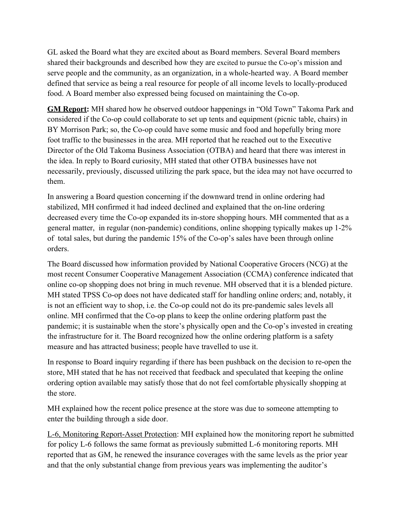GL asked the Board what they are excited about as Board members. Several Board members shared their backgrounds and described how they are excited to pursue the Co-op's mission and serve people and the community, as an organization, in a whole-hearted way. A Board member defined that service as being a real resource for people of all income levels to locally-produced food. A Board member also expressed being focused on maintaining the Co-op.

**GM Report:** MH shared how he observed outdoor happenings in "Old Town" Takoma Park and considered if the Co-op could collaborate to set up tents and equipment (picnic table, chairs) in BY Morrison Park; so, the Co-op could have some music and food and hopefully bring more foot traffic to the businesses in the area. MH reported that he reached out to the Executive Director of the Old Takoma Business Association (OTBA) and heard that there was interest in the idea. In reply to Board curiosity, MH stated that other OTBA businesses have not necessarily, previously, discussed utilizing the park space, but the idea may not have occurred to them.

In answering a Board question concerning if the downward trend in online ordering had stabilized, MH confirmed it had indeed declined and explained that the on-line ordering decreased every time the Co-op expanded its in-store shopping hours. MH commented that as a general matter, in regular (non-pandemic) conditions, online shopping typically makes up 1-2% of total sales, but during the pandemic 15% of the Co-op's sales have been through online orders.

The Board discussed how information provided by National Cooperative Grocers (NCG) at the most recent Consumer Cooperative Management Association (CCMA) conference indicated that online co-op shopping does not bring in much revenue. MH observed that it is a blended picture. MH stated TPSS Co-op does not have dedicated staff for handling online orders; and, notably, it is not an efficient way to shop, i.e. the Co-op could not do its pre-pandemic sales levels all online. MH confirmed that the Co-op plans to keep the online ordering platform past the pandemic; it is sustainable when the store's physically open and the Co-op's invested in creating the infrastructure for it. The Board recognized how the online ordering platform is a safety measure and has attracted business; people have travelled to use it.

In response to Board inquiry regarding if there has been pushback on the decision to re-open the store, MH stated that he has not received that feedback and speculated that keeping the online ordering option available may satisfy those that do not feel comfortable physically shopping at the store.

MH explained how the recent police presence at the store was due to someone attempting to enter the building through a side door.

L-6, Monitoring Report-Asset Protection: MH explained how the monitoring report he submitted for policy L-6 follows the same format as previously submitted L-6 monitoring reports. MH reported that as GM, he renewed the insurance coverages with the same levels as the prior year and that the only substantial change from previous years was implementing the auditor's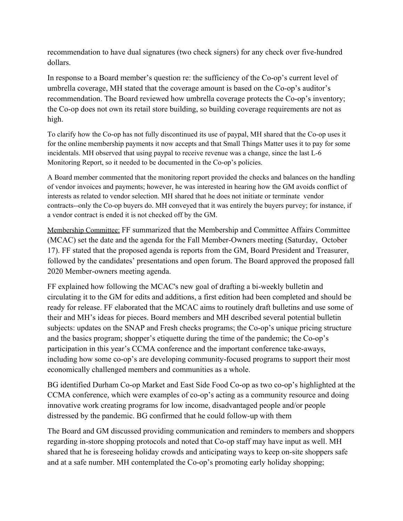recommendation to have dual signatures (two check signers) for any check over five-hundred dollars.

In response to a Board member's question re: the sufficiency of the Co-op's current level of umbrella coverage, MH stated that the coverage amount is based on the Co-op's auditor's recommendation. The Board reviewed how umbrella coverage protects the Co-op's inventory; the Co-op does not own its retail store building, so building coverage requirements are not as high.

To clarify how the Co-op has not fully discontinued its use of paypal, MH shared that the Co-op uses it for the online membership payments it now accepts and that Small Things Matter uses it to pay for some incidentals. MH observed that using paypal to receive revenue was a change, since the last L-6 Monitoring Report, so it needed to be documented in the Co-op's policies.

A Board member commented that the monitoring report provided the checks and balances on the handling of vendor invoices and payments; however, he was interested in hearing how the GM avoids conflict of interests as related to vendor selection. MH shared that he does not initiate or terminate vendor contracts--only the Co-op buyers do. MH conveyed that it was entirely the buyers purvey; for instance, if a vendor contract is ended it is not checked off by the GM.

Membership Committee: FF summarized that the Membership and Committee Affairs Committee (MCAC) set the date and the agenda for the Fall Member-Owners meeting (Saturday, October 17). FF stated that the proposed agenda is reports from the GM, Board President and Treasurer, followed by the candidates' presentations and open forum. The Board approved the proposed fall 2020 Member-owners meeting agenda.

FF explained how following the MCAC's new goal of drafting a bi-weekly bulletin and circulating it to the GM for edits and additions, a first edition had been completed and should be ready for release. FF elaborated that the MCAC aims to routinely draft bulletins and use some of their and MH's ideas for pieces. Board members and MH described several potential bulletin subjects: updates on the SNAP and Fresh checks programs; the Co-op's unique pricing structure and the basics program; shopper's etiquette during the time of the pandemic; the Co-op's participation in this year's CCMA conference and the important conference take-aways, including how some co-op's are developing community-focused programs to support their most economically challenged members and communities as a whole.

BG identified Durham Co-op Market and East Side Food Co-op as two co-op's highlighted at the CCMA conference, which were examples of co-op's acting as a community resource and doing innovative work creating programs for low income, disadvantaged people and/or people distressed by the pandemic. BG confirmed that he could follow-up with them

The Board and GM discussed providing communication and reminders to members and shoppers regarding in-store shopping protocols and noted that Co-op staff may have input as well. MH shared that he is foreseeing holiday crowds and anticipating ways to keep on-site shoppers safe and at a safe number. MH contemplated the Co-op's promoting early holiday shopping;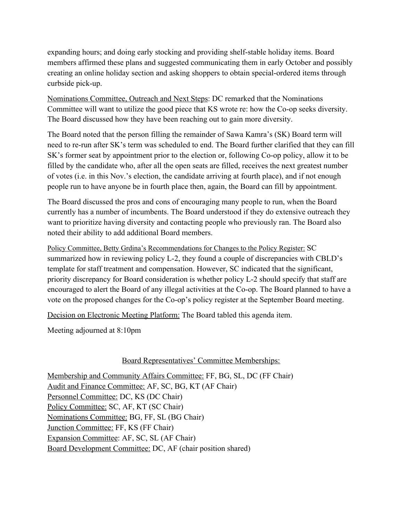expanding hours; and doing early stocking and providing shelf-stable holiday items. Board members affirmed these plans and suggested communicating them in early October and possibly creating an online holiday section and asking shoppers to obtain special-ordered items through curbside pick-up.

Nominations Committee, Outreach and Next Steps: DC remarked that the Nominations Committee will want to utilize the good piece that KS wrote re: how the Co-op seeks diversity. The Board discussed how they have been reaching out to gain more diversity.

The Board noted that the person filling the remainder of Sawa Kamra's (SK) Board term will need to re-run after SK's term was scheduled to end. The Board further clarified that they can fill SK's former seat by appointment prior to the election or, following Co-op policy, allow it to be filled by the candidate who, after all the open seats are filled, receives the next greatest number of votes (i.e. in this Nov.'s election, the candidate arriving at fourth place), and if not enough people run to have anyone be in fourth place then, again, the Board can fill by appointment.

The Board discussed the pros and cons of encouraging many people to run, when the Board currently has a number of incumbents. The Board understood if they do extensive outreach they want to prioritize having diversity and contacting people who previously ran. The Board also noted their ability to add additional Board members.

Policy Committee, Betty Grdina's Recommendations for Changes to the Policy Register: SC summarized how in reviewing policy L-2, they found a couple of discrepancies with CBLD's template for staff treatment and compensation. However, SC indicated that the significant, priority discrepancy for Board consideration is whether policy L-2 should specify that staff are encouraged to alert the Board of any illegal activities at the Co-op. The Board planned to have a vote on the proposed changes for the Co-op's policy register at the September Board meeting.

Decision on Electronic Meeting Platform: The Board tabled this agenda item.

Meeting adjourned at 8:10pm

### Board Representatives' Committee Memberships:

Membership and Community Affairs Committee: FF, BG, SL, DC (FF Chair) Audit and Finance Committee: AF, SC, BG, KT (AF Chair) Personnel Committee: DC, KS (DC Chair) Policy Committee: SC, AF, KT (SC Chair) Nominations Committee: BG, FF, SL (BG Chair) Junction Committee: FF, KS (FF Chair) Expansion Committee: AF, SC, SL (AF Chair) Board Development Committee: DC, AF (chair position shared)